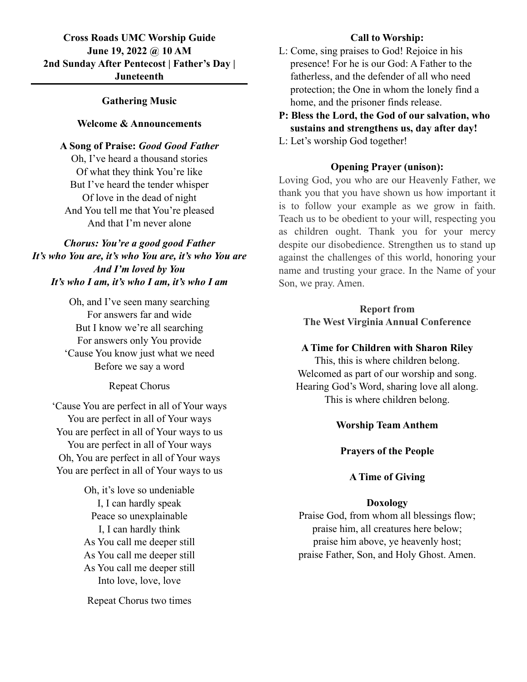# **Cross Roads UMC Worship Guide June 19, 2022 @ 10 AM 2nd Sunday After Pentecost | Father's Day | Juneteenth**

# **Gathering Music**

## **Welcome & Announcements**

### **A Song of Praise:** *Good Good Father*

Oh, I've heard a thousand stories Of what they think You're like But I've heard the tender whisper Of love in the dead of night And You tell me that You're pleased And that I'm never alone

*Chorus: You're a good good Father It's who You are, it's who You are, it's who You are And I'm loved by You It's who I am, it's who I am, it's who I am*

> Oh, and I've seen many searching For answers far and wide But I know we're all searching For answers only You provide 'Cause You know just what we need Before we say a word

> > Repeat Chorus

'Cause You are perfect in all of Your ways You are perfect in all of Your ways You are perfect in all of Your ways to us You are perfect in all of Your ways Oh, You are perfect in all of Your ways You are perfect in all of Your ways to us

> Oh, it's love so undeniable I, I can hardly speak Peace so unexplainable I, I can hardly think As You call me deeper still As You call me deeper still As You call me deeper still Into love, love, love

Repeat Chorus two times

# **Call to Worship:**

- L: Come, sing praises to God! Rejoice in his presence! For he is our God: A Father to the fatherless, and the defender of all who need protection; the One in whom the lonely find a home, and the prisoner finds release.
- **P: Bless the Lord, the God of our salvation, who sustains and strengthens us, day after day!**
- L: Let's worship God together!

## **Opening Prayer (unison):**

Loving God, you who are our Heavenly Father, we thank you that you have shown us how important it is to follow your example as we grow in faith. Teach us to be obedient to your will, respecting you as children ought. Thank you for your mercy despite our disobedience. Strengthen us to stand up against the challenges of this world, honoring your name and trusting your grace. In the Name of your Son, we pray. Amen.

> **Report from The West Virginia Annual Conference**

# **A Time for Children with Sharon Riley**

This, this is where children belong. Welcomed as part of our worship and song. Hearing God's Word, sharing love all along. This is where children belong.

### **Worship Team Anthem**

**Prayers of the People**

## **A Time of Giving**

### **Doxology**

Praise God, from whom all blessings flow; praise him, all creatures here below; praise him above, ye heavenly host; praise Father, Son, and Holy Ghost. Amen.